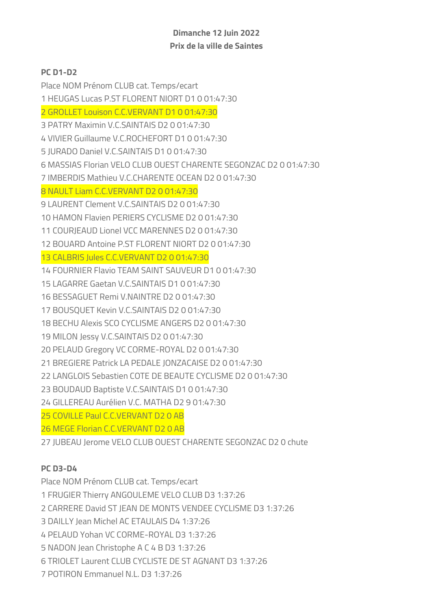## Dimanche 12 Juin 2022 Prix de la ville de Saintes

## PC D1-D2

Place NOM Prénom CLUB cat. Temps/ecart 1 HEUGAS Lucas P.ST FLORENT NIORT D1 0 01:47:30 2 GROLLET Louison C.C.VERVANT D1 0 01:47:30 3 PATRY Maximin V.C.SAINTAIS D2 0 01:47:30 4 VIVIER Guillaume V.C.ROCHEFORT D1 0 01:47:30 5 JURADO Daniel V.C.SAINTAIS D1 0 01:47:30 6 MASSIAS Florian VELO CLUB OUEST CHARENTE SEGONZAC D2 0 01:47:30 7 IMBERDIS Mathieu V.C.CHARENTE OCEAN D2 0 01:47:30 8 NAULT Liam C.C.VERVANT D2 0 01:47:30 9 LAURENT Clement V.C.SAINTAIS D2 0 01:47:30 10 HAMON Flavien PERIERS CYCLISME D2 0 01:47:30 11 COURJEAUD Lionel VCC MARENNES D2 0 01:47:30 12 BOUARD Antoine P.ST FLORENT NIORT D2 0 01:47:30 13 CALBRIS Jules C.C.VERVANT D2 0 01:47:30 14 FOURNIER Flavio TEAM SAINT SAUVEUR D1 0 01:47:30 15 LAGARRE Gaetan V.C.SAINTAIS D1 0 01:47:30 16 BESSAGUET Remi V.NAINTRE D2 0 01:47:30 17 BOUSQUET Kevin V.C.SAINTAIS D2 0 01:47:30 18 BECHU Alexis SCO CYCLISME ANGERS D2 0 01:47:30 19 MILON Jessy V.C.SAINTAIS D2 0 01:47:30 20 PELAUD Gregory VC CORME-ROYAL D2 0 01:47:30 21 BREGIERE Patrick LA PEDALE JONZACAISE D2 0 01:47:30 22 LANGLOIS Sebastien COTE DE BEAUTE CYCLISME D2 0 01:47:30 23 BOUDAUD Baptiste V.C.SAINTAIS D1 0 01:47:30 24 GILLEREAU Aurélien V.C. MATHA D2 9 01:47:30 25 COVILLE Paul C.C.VERVANT D2 0 AB 26 MEGE Florian C.C.VERVANT D2 0 AB 27 JUBEAU Jerome VELO CLUB OUEST CHARENTE SEGONZAC D2 0 chute

## PC D3-D4

Place NOM Prénom CLUB cat. Temps/ecart 1 FRUGIER Thierry ANGOULEME VELO CLUB D3 1:37:26 2 CARRERE David ST JEAN DE MONTS VENDEE CYCLISME D3 1:37:26 3 DAILLY Jean Michel AC ETAULAIS D4 1:37:26 4 PELAUD Yohan VC CORME-ROYAL D3 1:37:26 5 NADON Jean Christophe A C 4 B D3 1:37:26 6 TRIOLET Laurent CLUB CYCLISTE DE ST AGNANT D3 1:37:26 7 POTIRON Emmanuel N.L. D3 1:37:26